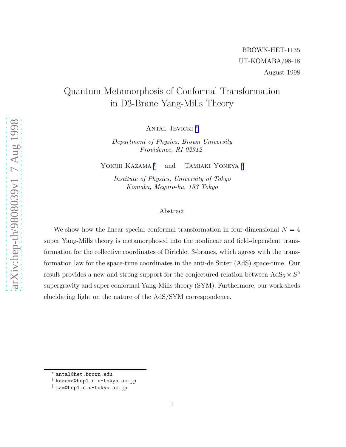## Quantum Metamorphosis of Conformal Transformation in D3-Brane Yang-Mills Theory

ANTAL JEVICKI<sup>\*</sup>

Department of Physics, Brown University Providence, RI 02912

YOICHI KAZAMA<sup>†</sup> <sup>†</sup> and TAMIAKI YONEYA<sup>‡</sup>

Institute of Physics, University of Tokyo Komaba, Meguro-ku, 153 Tokyo

## Abstract

We show how the linear special conformal transformation in four-dimensional  $N = 4$ super Yang-Mills theory is metamorphosed into the nonlinear and field-dependent transformation for the collective coordinates of Dirichlet 3-branes, which agrees with the transformation law for the space-time coordinates in the anti-de Sitter (AdS) space-time. Our result provides a new and strong support for the conjectured relation between  $AdS_5 \times S^5$ supergravity and super conformal Yang-Mills theory (SYM). Furthermore, our work sheds elucidating light on the nature of the AdS/SYM correspondence.

<sup>∗</sup> antal@het.brown.edu

<sup>†</sup> kazama@hep1.c.u-tokyo.ac.jp

<sup>‡</sup> tam@hep1.c.u-tokyo.ac.jp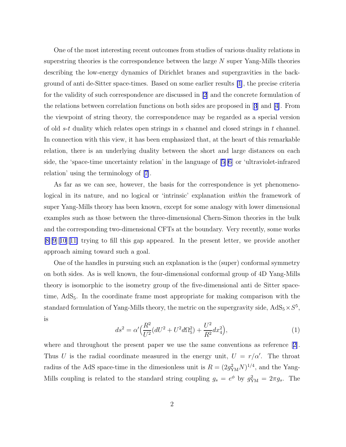<span id="page-1-0"></span>One of the most interesting recent outcomes from studies of various duality relations in superstring theories is the correspondence between the large  $N$  super Yang-Mills theories describing the low-energy dynamics of Dirichlet branes and supergravities in the background of anti de-Sitter space-times. Based on some earlier results [\[1](#page-7-0)], the precise criteria for the validity of such correspondence are discussed in [\[2](#page-7-0)] and the concrete formulation of the relations between correlation functions on both sides are proposed in[[3](#page-7-0)] and [\[4\]](#page-7-0). From the viewpoint of string theory, the correspondence may be regarded as a special version of old  $s-t$  duality which relates open strings in s channel and closed strings in t channel. In connection with this view, it has been emphasized that, at the heart of this remarkable relation, there is an underlying duality between the short and large distances on each side, the 'space-time uncertainty relation' in the language of [\[5\]\[6](#page-7-0)] or 'ultraviolet-infrared relation' using the terminology of[[7\]](#page-7-0).

As far as we can see, however, the basis for the correspondence is yet phenomenological in its nature, and no logical or 'intrinsic' explanation within the framework of super Yang-Mills theory has been known, except for some analogy with lower dimensional examples such as those between the three-dimensional Chern-Simon theories in the bulk and the corresponding two-dimensional CFTs at the boundary. Very recently, some works  $[8][9][10][11]$  $[8][9][10][11]$  $[8][9][10][11]$  $[8][9][10][11]$  $[8][9][10][11]$  $[8][9][10][11]$  trying to fill this gap appeared. In the present letter, we provide another approach aiming toward such a goal.

One of the handles in pursuing such an explanation is the (super) conformal symmetry on both sides. As is well known, the four-dimensional conformal group of 4D Yang-Mills theory is isomorphic to the isometry group of the five-dimensional anti de Sitter spacetime, AdS<sub>5</sub>. In the coordinate frame most appropriate for making comparison with the standard formulation of Yang-Mills theory, the metric on the supergravity side,  $AdS_5 \times S^5$ , is

$$
ds^{2} = \alpha' \Big(\frac{R^{2}}{U^{2}}(dU^{2} + U^{2}d\Omega_{5}^{2}) + \frac{U^{2}}{R^{2}}dx_{4}^{2}\Big), \tag{1}
$$

where and throughout the present paper we use the same conventions as reference[[2\]](#page-7-0). Thus U is the radial coordinate measured in the energy unit,  $U = r/\alpha'$ . The throat radius of the AdS space-time in the dimesionless unit is  $R = (2g_{YM}^2 N)^{1/4}$ , and the Yang-Mills coupling is related to the standard string coupling  $g_s = e^{\phi}$  by  $g_{YM}^2 = 2\pi g_s$ . The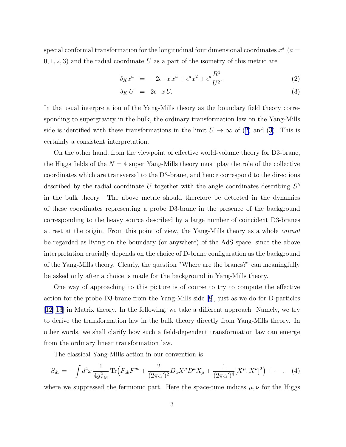<span id="page-2-0"></span>special conformal transformation for the longitudinal four dimensional coordinates  $x^a$  ( $a =$  $(0, 1, 2, 3)$  and the radial coordinate U as a part of the isometry of this metric are

$$
\delta_K x^a = -2\epsilon \cdot x x^a + \epsilon^a x^2 + \epsilon^a \frac{R^4}{U^2},\tag{2}
$$

$$
\delta_K U = 2\epsilon \cdot x U. \tag{3}
$$

In the usual interpretation of the Yang-Mills theory as the boundary field theory corresponding to supergravity in the bulk, the ordinary transformation law on the Yang-Mills side is identified with these transformations in the limit  $U \to \infty$  of (2) and (3). This is certainly a consistent interpretation.

On the other hand, from the viewpoint of effective world-volume theory for D3-brane, the Higgs fields of the  $N = 4$  super Yang-Mills theory must play the role of the collective coordinates which are transversal to the D3-brane, and hence correspond to the directions described by the radial coordinate U together with the angle coordinates describing  $S^5$ in the bulk theory. The above metric should therefore be detected in the dynamics of these coordinates representing a probe D3-brane in the presence of the background corresponding to the heavy source described by a large number of coincident D3-branes at rest at the origin. From this point of view, the Yang-Mills theory as a whole cannot be regarded as living on the boundary (or anywhere) of the AdS space, since the above interpretation crucially depends on the choice of D-brane configuration as the background of the Yang-Mills theory. Clearly, the question "Where are the branes?" can meaningfully be asked only after a choice is made for the background in Yang-Mills theory.

One way of approaching to this picture is of course to try to compute the effective action for the probe D3-brane from the Yang-Mills side [\[8](#page-7-0)], just as we do for D-particles [[12\]\[13\]](#page-7-0) in Matrix theory. In the following, we take a different approach. Namely, we try to derive the transformation law in the bulk theory directly from Yang-Mills theory. In other words, we shall clarify how such a field-dependent transformation law can emerge from the ordinary linear transformation law.

The classical Yang-Mills action in our convention is

$$
S_{d3} = -\int d^4x \, \frac{1}{4g_{\rm YM}^2} \, \text{Tr}\Big( F_{ab} F^{ab} + \frac{2}{(2\pi\alpha')^2} D_a X^\mu D^a X_\mu + \frac{1}{(2\pi\alpha')^4} [X^\mu, X^\nu]^2 \Big) + \cdots, \tag{4}
$$

where we suppressed the fermionic part. Here the space-time indices  $\mu, \nu$  for the Higgs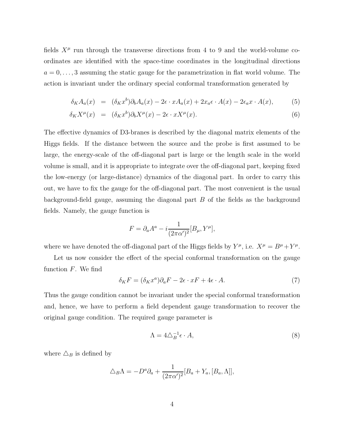fields  $X^{\mu}$  run through the transverse directions from 4 to 9 and the world-volume coordinates are identified with the space-time coordinates in the longitudinal directions  $a = 0, \ldots, 3$  assuming the static gauge for the parametrization in flat world volume. The action is invariant under the ordinary special conformal transformation generated by

$$
\delta_K A_a(x) = (\delta_K x^b) \partial_b A_a(x) - 2\epsilon \cdot x A_a(x) + 2x_a \epsilon \cdot A(x) - 2\epsilon_a x \cdot A(x), \tag{5}
$$

$$
\delta_K X^{\mu}(x) = (\delta_K x^b) \partial_b X^{\mu}(x) - 2\epsilon \cdot x X^{\mu}(x). \tag{6}
$$

The effective dynamics of D3-branes is described by the diagonal matrix elements of the Higgs fields. If the distance between the source and the probe is first assumed to be large, the energy-scale of the off-diagonal part is large or the length scale in the world volume is small, and it is appropriate to integrate over the off-diagonal part, keeping fixed the low-energy (or large-distance) dynamics of the diagonal part. In order to carry this out, we have to fix the gauge for the off-diagonal part. The most convenient is the usual background-field gauge, assuming the diagonal part  $B$  of the fields as the background fields. Namely, the gauge function is

$$
F = \partial_a A^a - i \frac{1}{(2\pi\alpha')^2} [B_\mu, Y^\mu],
$$

where we have denoted the off-diagonal part of the Higgs fields by  $Y^{\mu}$ , i.e.  $X^{\mu} = B^{\mu} + Y^{\mu}$ .

Let us now consider the effect of the special conformal transformation on the gauge function  $F$ . We find

$$
\delta_K F = (\delta_K x^a) \partial_a F - 2\epsilon \cdot xF + 4\epsilon \cdot A. \tag{7}
$$

Thus the gauge condition cannot be invariant under the special conformal transformation and, hence, we have to perform a field dependent gauge transformation to recover the original gauge condition. The required gauge parameter is

$$
\Lambda = 4\triangle_B^{-1} \epsilon \cdot A,\tag{8}
$$

where  $\Delta_B$  is defined by

$$
\Delta_B \Lambda = -D^a \partial_a + \frac{1}{(2\pi\alpha')^2} [B_a + Y_a, [B_a, \Lambda]],
$$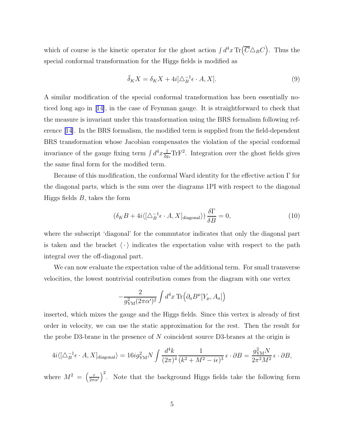which of course is the kinetic operator for the ghost action  $\int d^4x \,\text{Tr}(\overline{C}\Delta_B C)$ . Thus the special conformal transformation for the Higgs fields is modified as

$$
\tilde{\delta}_K X = \delta_K X + 4i[\Delta_B^{-1} \epsilon \cdot A, X]. \tag{9}
$$

A similar modification of the special conformal transformation has been essentially noticed long ago in[[14\]](#page-7-0), in the case of Feynman gauge. It is straightforward to check that the measure is invariant under this transformation using the BRS formalism following reference [\[14\]](#page-7-0). In the BRS formalism, the modified term is supplied from the field-dependent BRS transformation whose Jacobian compensates the violation of the special conformal invariance of the gauge fixing term  $\int d^4x \frac{1}{2a}$  $\frac{1}{2g_s} \text{Tr} \mathbf{F}^2$ . Integration over the ghost fields gives the same final form for the modified term.

Because of this modification, the conformal Ward identity for the effective action Γ for the diagonal parts, which is the sum over the diagrams 1PI with respect to the diagonal Higgs fields  $B$ , takes the form

$$
\left(\delta_K B + 4i \langle \left[\Delta_B^{-1} \epsilon \cdot A, X\right]_{\text{diagonal}} \rangle\right) \frac{\delta \Gamma}{\delta B} = 0,\tag{10}
$$

where the subscript 'diagonal' for the commutator indicates that only the diagonal part is taken and the bracket  $\langle \cdot \rangle$  indicates the expectation value with respect to the path integral over the off-diagonal part.

We can now evaluate the expectation value of the additional term. For small transverse velocities, the lowest nontrivial contribution comes from the diagram with one vertex

$$
-\frac{2}{g_{\rm YM}^2(2\pi\alpha')^2}\int d^4x\,{\rm Tr}\Big(\partial_aB^\mu[Y_\mu,A_a]\Big)
$$

inserted, which mixes the gauge and the Higgs fields. Since this vertex is already of first order in velocity, we can use the static approximation for the rest. Then the result for the probe D3-brane in the presence of  $N$  coincident source D3-branes at the origin is

$$
4i\langle \left[\Delta_B^{-1}\epsilon \cdot A, X\right]_{\text{diagonal}}\rangle = 16ig_{\text{YM}}^2 N \int \frac{d^4k}{(2\pi)^4} \frac{1}{(k^2 + M^2 - i\epsilon)^3} \epsilon \cdot \partial B = \frac{g_{\text{YM}}^2 N}{2\pi^2 M^2} \epsilon \cdot \partial B,
$$

where  $M^2 = \left(\frac{r}{2\pi\alpha'}\right)^2$ . Note that the background Higgs fields take the following form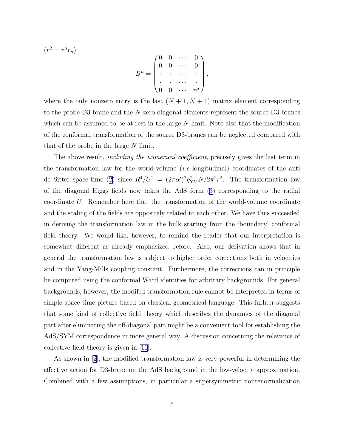$$
(r^2 = r^{\mu}r_{\mu})
$$
\n
$$
B^{\mu} = \begin{pmatrix} 0 & 0 & \cdots & 0 \\ 0 & 0 & \cdots & 0 \\ \cdot & \cdot & \cdots & \cdot \\ 0 & 0 & \cdots & r^{\mu} \end{pmatrix},
$$

where the only nonzero entry is the last  $(N + 1, N + 1)$  matrix element corresponding to the probe D3-brane and the N zero diagonal elements represent the source D3-branes which can be assumed to be at rest in the large  $N$  limit. Note also that the modification of the conformal transformation of the source D3-branes can be neglected compared with that of the probe in the large N limit.

The above result, *including the numerical coefficient*, precisely gives the last term in the transformation law for the world-volume *(i.e* longitudinal) coordinates of the anti deSitter space-time ([2\)](#page-2-0) since  $R^4/U^2 = (2\pi\alpha')^2 g_{\text{YM}}^2 N/2\pi^2 r^2$ . The transformation law of the diagonal Higgs fields now takes the AdS form([3\)](#page-2-0) corresponding to the radial coordinate U. Remember here that the transformation of the world-volume coordinate and the scaling of the fields are oppositely related to each other. We have thus succeeded in deriving the transformation law in the bulk starting from the 'boundary' conformal field theory. We would like, however, to remind the reader that our interpretation is somewhat different as already emphasized before. Also, our derivation shows that in general the transformation law is subject to higher order corrections both in velocities and in the Yang-Mills coupling constant. Furthermore, the corrections can in principle be computed using the conformal Ward identities for arbitrary backgrounds. For general backgrounds, however, the modifed transformation rule cannot be interpreted in terms of simple space-time picture based on classical geometrical language. This furhter suggests that some kind of collective field theory which describes the dynamics of the diagonal part after eliminating the off-diagonal part might be a convenient tool for establishing the AdS/SYM correspondence in more general way. A discussion concerning the relevance of collective field theory is given in[[16](#page-7-0)].

As shown in [\[2](#page-7-0)], the modified transformation law is very powerful in determining the effective action for D3-brane on the AdS background in the low-velocity approximation. Combined with a few assumptions, in particular a supersymmetric nonrenormalization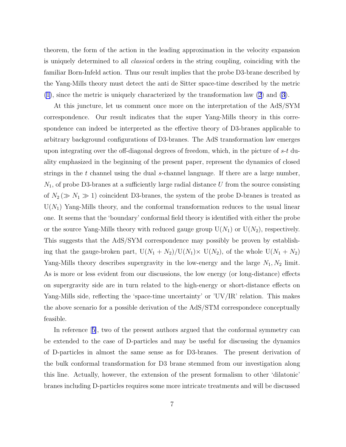theorem, the form of the action in the leading approximation in the velocity expansion is uniquely determined to all classical orders in the string coupling, coinciding with the familiar Born-Infeld action. Thus our result implies that the probe D3-brane described by the Yang-Mills theory must detect the anti de Sitter space-time described by the metric [\(1](#page-1-0)), since the metric is uniquely characterized by the transformation law [\(2](#page-2-0)) and([3\)](#page-2-0).

At this juncture, let us comment once more on the interpretation of the AdS/SYM correspondence. Our result indicates that the super Yang-Mills theory in this correspondence can indeed be interpreted as the effective theory of D3-branes applicable to arbitrary background configurations of D3-branes. The AdS transformation law emerges upon integrating over the off-diagonal degrees of freedom, which, in the picture of  $s-t$  duality emphasized in the beginning of the present paper, represent the dynamics of closed strings in the  $t$  channel using the dual  $s$ -channel language. If there are a large number,  $N_1$ , of probe D3-branes at a sufficiently large radial distance U from the source consisting of  $N_2 \gg N_1 \gg 1$ ) coincident D3-branes, the system of the probe D-branes is treated as  $U(N_1)$  Yang-Mills theory, and the conformal transformation reduces to the usual linear one. It seems that the 'boundary' conformal field theory is identified with either the probe or the source Yang-Mills theory with reduced gauge group  $U(N_1)$  or  $U(N_2)$ , respectively. This suggests that the AdS/SYM correspondence may possibly be proven by establishing that the gauge-broken part,  $U(N_1 + N_2)/U(N_1) \times U(N_2)$ , of the whole  $U(N_1 + N_2)$ Yang-Mills theory describes supergravity in the low-energy and the large  $N_1, N_2$  limit. As is more or less evident from our discussions, the low energy (or long-distance) effects on supergravity side are in turn related to the high-energy or short-distance effects on Yang-Mills side, reflecting the 'space-time uncertainty' or 'UV/IR' relation. This makes the above scenario for a possible derivation of the AdS/STM correspondece conceptually feasible.

In reference[[5\]](#page-7-0), two of the present authors argued that the conformal symmetry can be extended to the case of D-particles and may be useful for discussing the dynamics of D-particles in almost the same sense as for D3-branes. The present derivation of the bulk conformal transformation for D3 brane stemmed from our investigation along this line. Actually, however, the extension of the present formalism to other 'dilatonic' branes including D-particles requires some more intricate treatments and will be discussed